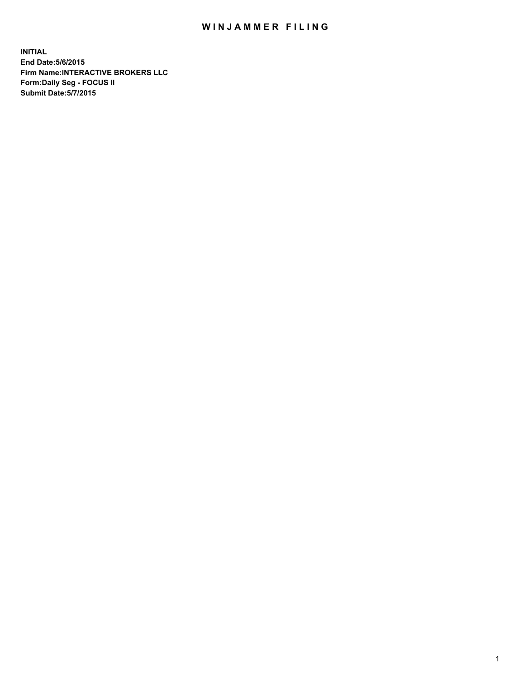## WIN JAMMER FILING

**INITIAL End Date:5/6/2015 Firm Name:INTERACTIVE BROKERS LLC Form:Daily Seg - FOCUS II Submit Date:5/7/2015**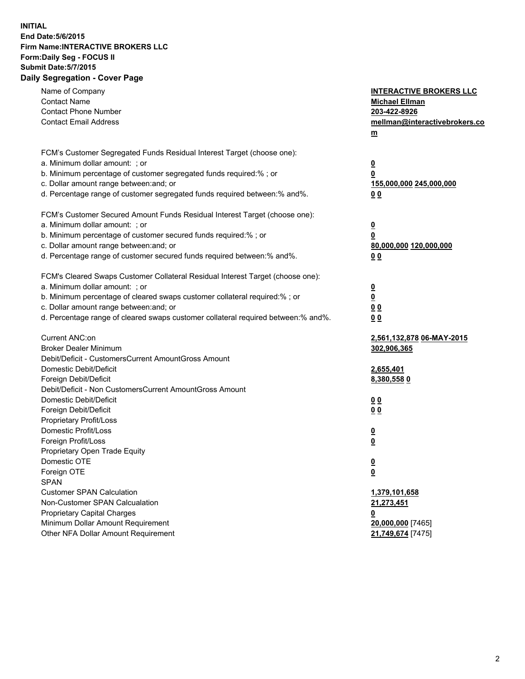## **INITIAL End Date:5/6/2015 Firm Name:INTERACTIVE BROKERS LLC Form:Daily Seg - FOCUS II Submit Date:5/7/2015 Daily Segregation - Cover Page**

| Name of Company<br><b>Contact Name</b>                                            | <b>INTERACTIVE BROKERS LLC</b><br><b>Michael Ellman</b> |
|-----------------------------------------------------------------------------------|---------------------------------------------------------|
| <b>Contact Phone Number</b>                                                       | 203-422-8926                                            |
| <b>Contact Email Address</b>                                                      | mellman@interactivebrokers.co                           |
|                                                                                   | $\underline{\mathbf{m}}$                                |
|                                                                                   |                                                         |
| FCM's Customer Segregated Funds Residual Interest Target (choose one):            |                                                         |
| a. Minimum dollar amount: ; or                                                    | $\overline{\mathbf{0}}$                                 |
| b. Minimum percentage of customer segregated funds required:% ; or                | 0                                                       |
| c. Dollar amount range between: and; or                                           | 155,000,000 245,000,000                                 |
| d. Percentage range of customer segregated funds required between:% and%.         | 00                                                      |
| FCM's Customer Secured Amount Funds Residual Interest Target (choose one):        |                                                         |
| a. Minimum dollar amount: ; or                                                    | $\overline{\mathbf{0}}$                                 |
| b. Minimum percentage of customer secured funds required:% ; or                   | 0                                                       |
| c. Dollar amount range between: and; or                                           | 80,000,000 120,000,000                                  |
| d. Percentage range of customer secured funds required between:% and%.            | 00                                                      |
| FCM's Cleared Swaps Customer Collateral Residual Interest Target (choose one):    |                                                         |
| a. Minimum dollar amount: ; or                                                    |                                                         |
| b. Minimum percentage of cleared swaps customer collateral required:% ; or        | $\overline{\mathbf{0}}$<br>$\underline{\mathbf{0}}$     |
| c. Dollar amount range between: and; or                                           | 0 <sub>0</sub>                                          |
| d. Percentage range of cleared swaps customer collateral required between:% and%. | 0 <sub>0</sub>                                          |
|                                                                                   |                                                         |
| Current ANC:on                                                                    | 2,561,132,878 06-MAY-2015                               |
| <b>Broker Dealer Minimum</b>                                                      | 302,906,365                                             |
| Debit/Deficit - CustomersCurrent AmountGross Amount                               |                                                         |
| Domestic Debit/Deficit                                                            | 2,655,401                                               |
| Foreign Debit/Deficit                                                             | 8,380,5580                                              |
| Debit/Deficit - Non CustomersCurrent AmountGross Amount                           |                                                         |
| Domestic Debit/Deficit                                                            | 0 <sub>0</sub>                                          |
| Foreign Debit/Deficit                                                             | 0 <sub>0</sub>                                          |
| Proprietary Profit/Loss                                                           |                                                         |
| Domestic Profit/Loss                                                              | $\overline{\mathbf{0}}$                                 |
| Foreign Profit/Loss                                                               | $\underline{\mathbf{0}}$                                |
| Proprietary Open Trade Equity<br>Domestic OTE                                     |                                                         |
|                                                                                   | <u>0</u>                                                |
| Foreign OTE                                                                       | <u>0</u>                                                |
| <b>SPAN</b><br><b>Customer SPAN Calculation</b>                                   |                                                         |
| Non-Customer SPAN Calcualation                                                    | 1,379,101,658                                           |
|                                                                                   | 21,273,451                                              |
| Proprietary Capital Charges<br>Minimum Dollar Amount Requirement                  | <u>0</u>                                                |
| Other NFA Dollar Amount Requirement                                               | 20,000,000 [7465]<br>21,749,674 [7475]                  |
|                                                                                   |                                                         |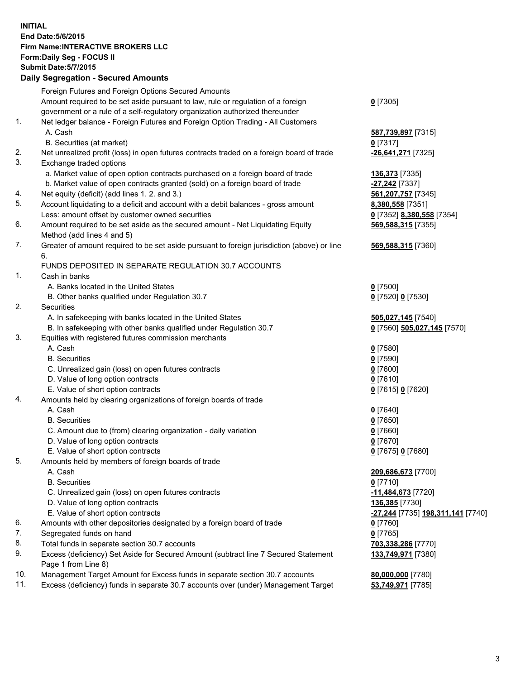## **INITIAL End Date:5/6/2015 Firm Name:INTERACTIVE BROKERS LLC Form:Daily Seg - FOCUS II Submit Date:5/7/2015 Daily Segregation - Secured Amounts**

|     | Foreign Futures and Foreign Options Secured Amounts                                         |                                   |
|-----|---------------------------------------------------------------------------------------------|-----------------------------------|
|     | Amount required to be set aside pursuant to law, rule or regulation of a foreign            | $0$ [7305]                        |
|     | government or a rule of a self-regulatory organization authorized thereunder                |                                   |
| 1.  | Net ledger balance - Foreign Futures and Foreign Option Trading - All Customers             |                                   |
|     | A. Cash                                                                                     | 587,739,897 [7315]                |
|     | B. Securities (at market)                                                                   | $0$ [7317]                        |
| 2.  | Net unrealized profit (loss) in open futures contracts traded on a foreign board of trade   | -26,641,271 [7325]                |
| 3.  | Exchange traded options                                                                     |                                   |
|     | a. Market value of open option contracts purchased on a foreign board of trade              |                                   |
|     | b. Market value of open contracts granted (sold) on a foreign board of trade                | 136,373 [7335]                    |
|     |                                                                                             | -27,242 <sup>[7337]</sup>         |
| 4.  | Net equity (deficit) (add lines 1. 2. and 3.)                                               | 561,207,757 [7345]                |
| 5.  | Account liquidating to a deficit and account with a debit balances - gross amount           | 8,380,558 [7351]                  |
|     | Less: amount offset by customer owned securities                                            | 0 [7352] 8,380,558 [7354]         |
| 6.  | Amount required to be set aside as the secured amount - Net Liquidating Equity              | 569,588,315 [7355]                |
|     | Method (add lines 4 and 5)                                                                  |                                   |
| 7.  | Greater of amount required to be set aside pursuant to foreign jurisdiction (above) or line | 569,588,315 [7360]                |
|     | 6.                                                                                          |                                   |
|     | FUNDS DEPOSITED IN SEPARATE REGULATION 30.7 ACCOUNTS                                        |                                   |
| 1.  | Cash in banks                                                                               |                                   |
|     | A. Banks located in the United States                                                       | $0$ [7500]                        |
|     | B. Other banks qualified under Regulation 30.7                                              | 0 [7520] 0 [7530]                 |
| 2.  | Securities                                                                                  |                                   |
|     | A. In safekeeping with banks located in the United States                                   | 505,027,145 [7540]                |
|     | B. In safekeeping with other banks qualified under Regulation 30.7                          | 0 [7560] 505,027,145 [7570]       |
| 3.  | Equities with registered futures commission merchants                                       |                                   |
|     | A. Cash                                                                                     | $0$ [7580]                        |
|     | <b>B.</b> Securities                                                                        | $0$ [7590]                        |
|     | C. Unrealized gain (loss) on open futures contracts                                         | $0$ [7600]                        |
|     | D. Value of long option contracts                                                           | $0$ [7610]                        |
|     | E. Value of short option contracts                                                          | 0 [7615] 0 [7620]                 |
| 4.  | Amounts held by clearing organizations of foreign boards of trade                           |                                   |
|     | A. Cash                                                                                     | $0$ [7640]                        |
|     | <b>B.</b> Securities                                                                        | $0$ [7650]                        |
|     | C. Amount due to (from) clearing organization - daily variation                             | $0$ [7660]                        |
|     | D. Value of long option contracts                                                           | $0$ [7670]                        |
|     | E. Value of short option contracts                                                          | 0 [7675] 0 [7680]                 |
| 5.  | Amounts held by members of foreign boards of trade                                          |                                   |
|     | A. Cash                                                                                     | 209,686,673 [7700]                |
|     | <b>B.</b> Securities                                                                        | $0$ [7710]                        |
|     |                                                                                             |                                   |
|     | C. Unrealized gain (loss) on open futures contracts                                         | -11,484,673 [7720]                |
|     | D. Value of long option contracts                                                           | 136,385 [7730]                    |
|     | E. Value of short option contracts                                                          | -27,244 [7735] 198,311,141 [7740] |
| 6.  | Amounts with other depositories designated by a foreign board of trade                      | $0$ [7760]                        |
| 7.  | Segregated funds on hand                                                                    | $0$ [7765]                        |
| 8.  | Total funds in separate section 30.7 accounts                                               | 703,338,286 [7770]                |
| 9.  | Excess (deficiency) Set Aside for Secured Amount (subtract line 7 Secured Statement         | 133,749,971 [7380]                |
|     | Page 1 from Line 8)                                                                         |                                   |
| 10. | Management Target Amount for Excess funds in separate section 30.7 accounts                 | 80,000,000 [7780]                 |
| 11. | Excess (deficiency) funds in separate 30.7 accounts over (under) Management Target          | 53,749,971 [7785]                 |
|     |                                                                                             |                                   |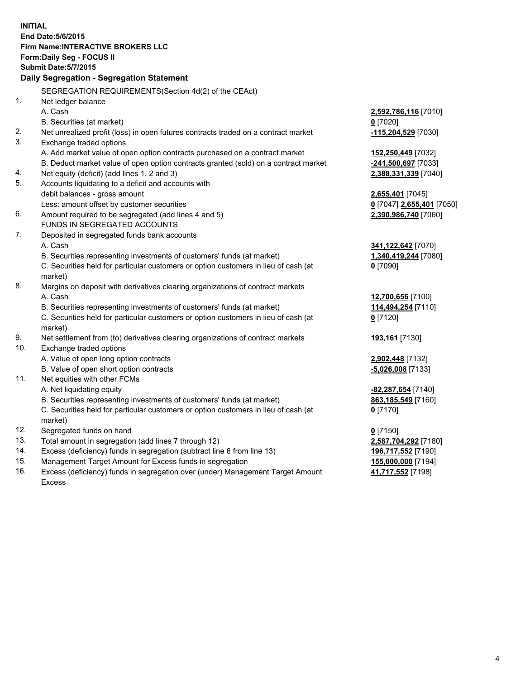**INITIAL End Date:5/6/2015 Firm Name:INTERACTIVE BROKERS LLC Form:Daily Seg - FOCUS II Submit Date:5/7/2015 Daily Segregation - Segregation Statement** SEGREGATION REQUIREMENTS(Section 4d(2) of the CEAct) 1. Net ledger balance A. Cash **2,592,786,116** [7010] B. Securities (at market) **0** [7020] 2. Net unrealized profit (loss) in open futures contracts traded on a contract market **-115,204,529** [7030] 3. Exchange traded options A. Add market value of open option contracts purchased on a contract market **152,250,449** [7032] B. Deduct market value of open option contracts granted (sold) on a contract market **-241,500,697** [7033] 4. Net equity (deficit) (add lines 1, 2 and 3) **2,388,331,339** [7040] 5. Accounts liquidating to a deficit and accounts with debit balances - gross amount **2,655,401** [7045] Less: amount offset by customer securities **0** [7047] **2,655,401** [7050] 6. Amount required to be segregated (add lines 4 and 5) **2,390,986,740** [7060] FUNDS IN SEGREGATED ACCOUNTS 7. Deposited in segregated funds bank accounts A. Cash **341,122,642** [7070] B. Securities representing investments of customers' funds (at market) **1,340,419,244** [7080] C. Securities held for particular customers or option customers in lieu of cash (at market) **0** [7090] 8. Margins on deposit with derivatives clearing organizations of contract markets A. Cash **12,700,656** [7100] B. Securities representing investments of customers' funds (at market) **114,494,254** [7110] C. Securities held for particular customers or option customers in lieu of cash (at market) **0** [7120] 9. Net settlement from (to) derivatives clearing organizations of contract markets **193,161** [7130] 10. Exchange traded options A. Value of open long option contracts **2,902,448** [7132] B. Value of open short option contracts **-5,026,008** [7133] 11. Net equities with other FCMs A. Net liquidating equity **-82,287,654** [7140] B. Securities representing investments of customers' funds (at market) **863,185,549** [7160] C. Securities held for particular customers or option customers in lieu of cash (at market) **0** [7170] 12. Segregated funds on hand **0** [7150] 13. Total amount in segregation (add lines 7 through 12) **2,587,704,292** [7180] 14. Excess (deficiency) funds in segregation (subtract line 6 from line 13) **196,717,552** [7190] 15. Management Target Amount for Excess funds in segregation **155,000,000** [7194]

16. Excess (deficiency) funds in segregation over (under) Management Target Amount Excess

**41,717,552** [7198]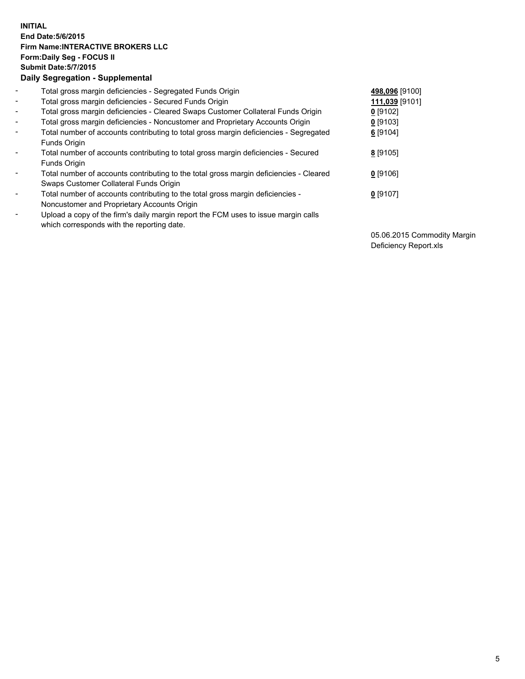## **INITIAL End Date:5/6/2015 Firm Name:INTERACTIVE BROKERS LLC Form:Daily Seg - FOCUS II Submit Date:5/7/2015 Daily Segregation - Supplemental**

| $\blacksquare$ | Total gross margin deficiencies - Segregated Funds Origin                              | 498,096 [9100] |
|----------------|----------------------------------------------------------------------------------------|----------------|
| $\blacksquare$ | Total gross margin deficiencies - Secured Funds Origin                                 | 111,039 [9101] |
| $\blacksquare$ | Total gross margin deficiencies - Cleared Swaps Customer Collateral Funds Origin       | $0$ [9102]     |
| $\sim$         | Total gross margin deficiencies - Noncustomer and Proprietary Accounts Origin          | $0$ [9103]     |
| $\blacksquare$ | Total number of accounts contributing to total gross margin deficiencies - Segregated  | 6 [9104]       |
|                | Funds Origin                                                                           |                |
| $\blacksquare$ | Total number of accounts contributing to total gross margin deficiencies - Secured     | 8 [9105]       |
|                | Funds Origin                                                                           |                |
| Ξ.             | Total number of accounts contributing to the total gross margin deficiencies - Cleared | $0$ [9106]     |
|                | Swaps Customer Collateral Funds Origin                                                 |                |
| $\blacksquare$ | Total number of accounts contributing to the total gross margin deficiencies -         | $0$ [9107]     |
|                | Noncustomer and Proprietary Accounts Origin                                            |                |
| $\blacksquare$ | Upload a copy of the firm's daily margin report the FCM uses to issue margin calls     |                |
|                | which corresponds with the reporting date.                                             |                |

05.06.2015 Commodity Margin Deficiency Report.xls